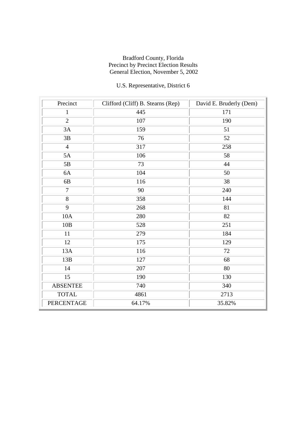# U.S. Representative, District 6

| Precinct          | Clifford (Cliff) B. Stearns (Rep) | David E. Bruderly (Dem) |
|-------------------|-----------------------------------|-------------------------|
| $\mathbf{1}$      | 445                               | 171                     |
| $\overline{2}$    | 107                               | 190                     |
| 3A                | 159                               | 51                      |
| 3B                | 76                                | 52                      |
| $\overline{4}$    | 317                               | 258                     |
| 5A                | 106                               | 58                      |
| $5\mathrm{B}$     | 73                                | 44                      |
| 6A                | 104                               | 50                      |
| 6B                | 116                               | 38                      |
| $\overline{7}$    | 90                                | 240                     |
| 8                 | 358                               | 144                     |
| 9                 | 268                               | 81                      |
| 10A               | 280                               | 82                      |
| 10B               | 528                               | 251                     |
| 11                | 279                               | 184                     |
| 12                | 175                               | 129                     |
| 13A               | 116                               | 72                      |
| 13B               | 127                               | 68                      |
| 14                | 207                               | 80                      |
| 15                | 190                               | 130                     |
| <b>ABSENTEE</b>   | 740                               | 340                     |
| <b>TOTAL</b>      | 4861                              | 2713                    |
| <b>PERCENTAGE</b> | 64.17%                            | 35.82%                  |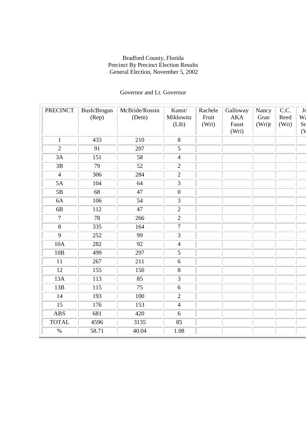## Governor and Lt. Governor

| <b>PRECINCT</b> | Bush/Brogan<br>(Rep) | McBride/Rossin<br>(Dem) | Kunst/<br>Miklowitz<br>(Lib) | Rachele<br>Fruit<br>(Wri) | Galloway<br><b>AKA</b><br>Faust<br>(Wri) | Nancy<br>Gran<br>(Wri)t | C.C.<br>Reed<br>(Wri) | J<br>W<br>Sn<br>(V) |
|-----------------|----------------------|-------------------------|------------------------------|---------------------------|------------------------------------------|-------------------------|-----------------------|---------------------|
| $\mathbf{1}$    | 433                  | 210                     | 8                            |                           |                                          |                         |                       |                     |
| $\overline{2}$  | 91                   | 207                     | $\overline{5}$               |                           |                                          |                         |                       |                     |
| 3A              | 151                  | 58                      | $\overline{4}$               |                           |                                          |                         |                       |                     |
| 3B              | 79                   | 52                      | $\overline{2}$               |                           |                                          |                         |                       |                     |
| $\overline{4}$  | 306                  | 284                     | $\overline{2}$               |                           |                                          |                         |                       |                     |
| 5A              | 104                  | 64                      | $\overline{3}$               |                           |                                          |                         |                       |                     |
| 5B              | 68                   | 47                      | $\boldsymbol{0}$             |                           |                                          |                         |                       |                     |
| 6A              | 106                  | 54                      | $\overline{3}$               |                           |                                          |                         |                       |                     |
| 6B              | 112                  | 47                      | $\overline{2}$               |                           |                                          |                         |                       |                     |
| $\overline{7}$  | 78                   | 266                     | $\overline{2}$               |                           |                                          |                         |                       |                     |
| $\overline{8}$  | 335                  | 164                     | $\overline{7}$               |                           |                                          |                         |                       |                     |
| 9               | 252                  | 99                      | $\overline{3}$               |                           |                                          |                         |                       |                     |
| 10A             | 282                  | 92                      | $\overline{4}$               |                           |                                          |                         |                       |                     |
| 10B             | 499                  | 297                     | $\overline{5}$               |                           |                                          |                         |                       |                     |
| 11              | 267                  | 211                     | 6                            |                           |                                          |                         |                       |                     |
| 12              | 155                  | 150                     | 8                            |                           |                                          |                         |                       |                     |
| 13A             | 113                  | 85                      | $\overline{3}$               |                           |                                          |                         |                       |                     |
| 13B             | 115                  | 75                      | 6                            |                           |                                          |                         |                       |                     |
| 14              | 193                  | 100                     | $\overline{2}$               |                           |                                          |                         |                       |                     |
| 15              | 176                  | 153                     | $\overline{4}$               |                           |                                          |                         |                       |                     |
| <b>ABS</b>      | 681                  | 420                     | 6                            |                           |                                          |                         |                       |                     |
| <b>TOTAL</b>    | 4596                 | 3135                    | 85                           |                           |                                          |                         |                       |                     |
| $\frac{0}{6}$   | 58.71                | 40.04                   | 1.08                         |                           |                                          |                         |                       |                     |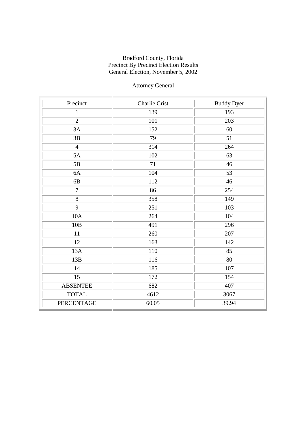# Attorney General

| Precinct        | <b>Charlie Crist</b> | <b>Buddy Dyer</b> |
|-----------------|----------------------|-------------------|
| $\mathbf{1}$    | 139                  | 193               |
| $\overline{2}$  | 101                  | 203               |
| 3A              | 152                  | 60                |
| 3B              | 79                   | 51                |
| $\overline{4}$  | 314                  | 264               |
| 5A              | 102                  | 63                |
| 5B              | 71                   | 46                |
| 6A              | 104                  | 53                |
| 6B              | 112                  | 46                |
| $\overline{7}$  | 86                   | 254               |
| $\overline{8}$  | 358                  | 149               |
| 9               | 251                  | 103               |
| 10A             | 264                  | 104               |
| 10B             | 491                  | 296               |
| 11              | 260                  | 207               |
| 12              | 163                  | 142               |
| 13A             | 110                  | 85                |
| 13B             | 116                  | $80\,$            |
| 14              | 185                  | 107               |
| 15              | 172                  | 154               |
| <b>ABSENTEE</b> | 682                  | 407               |
| <b>TOTAL</b>    | 4612                 | 3067              |
| PERCENTAGE      | 60.05                | 39.94             |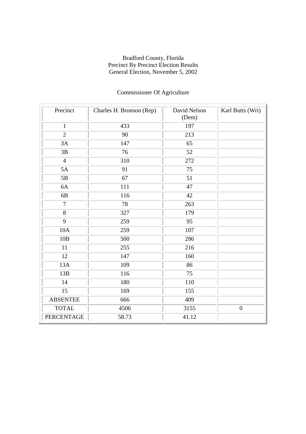| Precinct        | Charles H. Bronson (Rep) | David Nelson<br>(Dem) | Karl Butts (Wri) |
|-----------------|--------------------------|-----------------------|------------------|
| $\mathbf{1}$    | 433                      | 197                   |                  |
| $\overline{2}$  | 90                       | 213                   |                  |
| 3A              | 147                      | 65                    |                  |
| 3B              | $\overline{76}$          | 52                    |                  |
| $\overline{4}$  | 310                      | 272                   |                  |
| 5A              | 91                       | $\overline{75}$       |                  |
| 5B              | 67                       | 51                    |                  |
| 6A              | 111                      | 47                    |                  |
| 6B              | 116                      | 42                    |                  |
| $\overline{7}$  | 78                       | 263                   |                  |
| $8\,$           | 327                      | 179                   |                  |
| 9               | 259                      | 95                    |                  |
| 10A             | 259                      | 107                   |                  |
| 10B             | 500                      | 286                   |                  |
| 11              | 255                      | 216                   |                  |
| 12              | 147                      | 160                   |                  |
| 13A             | 109                      | 86                    |                  |
| 13B             | 116                      | 75                    |                  |
| 14              | 180                      | 110                   |                  |
| 15              | 169                      | 155                   |                  |
| <b>ABSENTEE</b> | 666                      | 409                   |                  |
| <b>TOTAL</b>    | 4506                     | 3155                  | $\boldsymbol{0}$ |
| PERCENTAGE      | 58.73                    | 41.12                 |                  |

## Commissioner Of Agriculture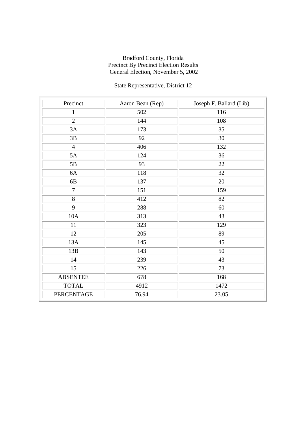# State Representative, District 12

| Precinct          | Aaron Bean (Rep) | Joseph F. Ballard (Lib) |
|-------------------|------------------|-------------------------|
| $\mathbf{1}$      | 502              | 116                     |
| $\overline{2}$    | 144              | 108                     |
| 3A                | 173              | 35                      |
| 3B                | 92               | $30\,$                  |
| $\overline{4}$    | 406              | 132                     |
| 5A                | 124              | 36                      |
| 5B                | 93               | 22                      |
| 6A                | 118              | 32                      |
| 6B                | 137              | 20                      |
| $\overline{7}$    | 151              | 159                     |
| 8                 | 412              | 82                      |
| 9                 | 288              | 60                      |
| 10A               | 313              | 43                      |
| 11                | 323              | 129                     |
| 12                | 205              | 89                      |
| 13A               | 145              | 45                      |
| 13B               | 143              | 50                      |
| 14                | 239              | 43                      |
| 15                | 226              | 73                      |
| <b>ABSENTEE</b>   | 678              | 168                     |
| <b>TOTAL</b>      | 4912             | 1472                    |
| <b>PERCENTAGE</b> | 76.94            | 23.05                   |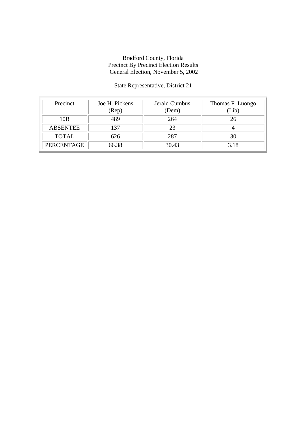## State Representative, District 21

| Precinct        | Joe H. Pickens<br>(Rep) | Jerald Cumbus<br>(Dem) | Thomas F. Luongo<br>(Lib) |
|-----------------|-------------------------|------------------------|---------------------------|
| 10B             | 489                     | 264                    | 26                        |
| <b>ABSENTEE</b> | 137                     | 23                     |                           |
| <b>TOTAL</b>    | 626                     | 287                    | 30                        |
| PERCENTAGE      | 66.38                   | 30.43                  | 3.18                      |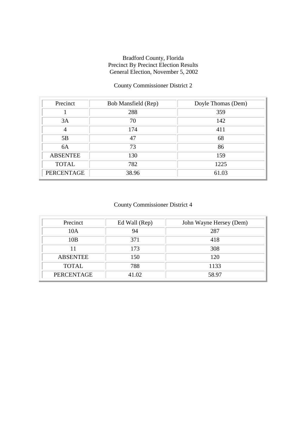## County Commissioner District 2

| Precinct        | Bob Mansfield (Rep) | Doyle Thomas (Dem) |
|-----------------|---------------------|--------------------|
|                 | 288                 | 359                |
| 3A              | 70                  | 142                |
| 4               | 174                 | 411                |
| 5B              | 47                  | 68                 |
| 6A              | 73                  | 86                 |
| <b>ABSENTEE</b> | 130                 | 159                |
| <b>TOTAL</b>    | 782                 | 1225               |
| PERCENTAGE      | 38.96               | 61.03              |

## County Commissioner District 4

| Precinct          | Ed Wall (Rep) | John Wayne Hersey (Dem) |
|-------------------|---------------|-------------------------|
| 10A               | 94            | 287                     |
| 10B               | 371           | 418                     |
|                   | 173           | 308                     |
| <b>ABSENTEE</b>   | 150           | 120                     |
| <b>TOTAL</b>      | 788           | 1133                    |
| <b>PERCENTAGE</b> | 41.02         | 58.97                   |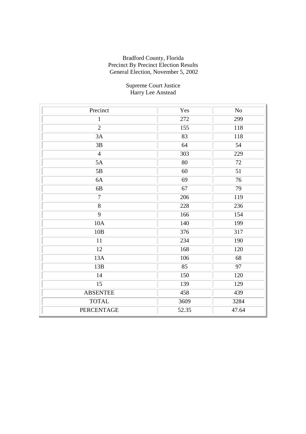#### Supreme Court Justice Harry Lee Anstead

| Precinct        | Yes   | N <sub>o</sub> |
|-----------------|-------|----------------|
| $\mathbf{1}$    | 272   | 299            |
| $\overline{2}$  | 155   | 118            |
| 3A              | 83    | 118            |
| 3B              | 64    | 54             |
| $\overline{4}$  | 303   | 229            |
| 5A              | 80    | 72             |
| 5B              | 60    | 51             |
| 6A              | 69    | 76             |
| 6B              | 67    | 79             |
| $\overline{7}$  | 206   | 119            |
| $\overline{8}$  | 228   | 236            |
| $\overline{9}$  | 166   | 154            |
| 10A             | 140   | 199            |
| 10B             | 376   | 317            |
| 11              | 234   | 190            |
| 12              | 168   | 120            |
| 13A             | 106   | 68             |
| 13B             | 85    | 97             |
| 14              | 150   | 120            |
| 15              | 139   | 129            |
| <b>ABSENTEE</b> | 458   | 439            |
| <b>TOTAL</b>    | 3609  | 3284           |
| PERCENTAGE      | 52.35 | 47.64          |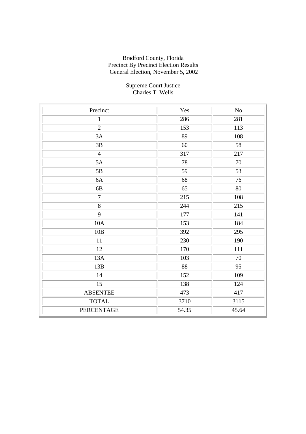#### Supreme Court Justice Charles T. Wells

| Precinct        | Yes   | No    |
|-----------------|-------|-------|
| $\mathbf{1}$    | 286   | 281   |
| $\overline{2}$  | 153   | 113   |
| 3A              | 89    | 108   |
| 3B              | 60    | 58    |
| $\overline{4}$  | 317   | 217   |
| 5A              | 78    | 70    |
| 5B              | 59    | 53    |
| 6A              | 68    | 76    |
| 6B              | 65    | 80    |
| $\overline{7}$  | 215   | 108   |
| $\overline{8}$  | 244   | 215   |
| 9               | 177   | 141   |
| 10A             | 153   | 184   |
| 10B             | 392   | 295   |
| 11              | 230   | 190   |
| 12              | 170   | 111   |
| 13A             | 103   | 70    |
| 13B             | 88    | 95    |
| 14              | 152   | 109   |
| 15              | 138   | 124   |
| <b>ABSENTEE</b> | 473   | 417   |
| <b>TOTAL</b>    | 3710  | 3115  |
| PERCENTAGE      | 54.35 | 45.64 |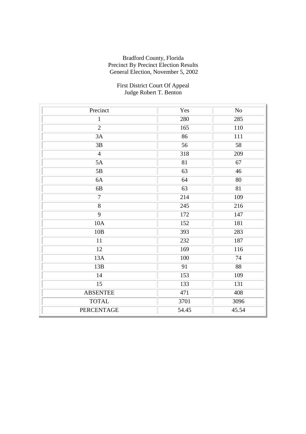#### First District Court Of Appeal Judge Robert T. Benton

| Precinct        | Yes   | No     |
|-----------------|-------|--------|
| $\mathbf{1}$    | 280   | 285    |
| $\overline{2}$  | 165   | 110    |
| 3A              | 86    | 111    |
| 3B              | 56    | 58     |
| $\overline{4}$  | 318   | 209    |
| 5A              | 81    | 67     |
| 5B              | 63    | $46\,$ |
| 6A              | 64    | 80     |
| $6B$            | 63    | 81     |
| $\overline{7}$  | 214   | 109    |
| $\overline{8}$  | 245   | 216    |
| $\overline{9}$  | 172   | 147    |
| 10A             | 152   | 181    |
| 10B             | 393   | 283    |
| 11              | 232   | 187    |
| 12              | 169   | 116    |
| 13A             | 100   | 74     |
| 13B             | 91    | 88     |
| 14              | 153   | 109    |
| 15              | 133   | 131    |
| <b>ABSENTEE</b> | 471   | 408    |
| <b>TOTAL</b>    | 3701  | 3096   |
| PERCENTAGE      | 54.45 | 45.54  |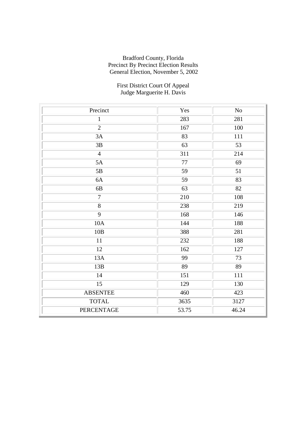#### First District Court Of Appeal Judge Marguerite H. Davis

| Precinct        | Yes   | N <sub>o</sub> |
|-----------------|-------|----------------|
| $\mathbf{1}$    | 283   | 281            |
| $\overline{2}$  | 167   | 100            |
| 3A              | 83    | 111            |
| 3B              | 63    | 53             |
| $\overline{4}$  | 311   | 214            |
| 5A              | 77    | 69             |
| 5B              | 59    | 51             |
| 6A              | 59    | 83             |
| 6B              | 63    | 82             |
| $\overline{7}$  | 210   | 108            |
| $\overline{8}$  | 238   | 219            |
| 9               | 168   | 146            |
| 10A             | 144   | 188            |
| 10B             | 388   | 281            |
| 11              | 232   | 188            |
| 12              | 162   | 127            |
| 13A             | 99    | 73             |
| 13B             | 89    | 89             |
| 14              | 151   | 111            |
| 15              | 129   | 130            |
| <b>ABSENTEE</b> | 460   | 423            |
| <b>TOTAL</b>    | 3635  | 3127           |
| PERCENTAGE      | 53.75 | 46.24          |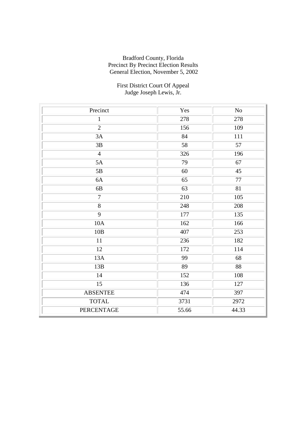#### First District Court Of Appeal Judge Joseph Lewis, Jr.

| Precinct        | Yes   | N <sub>o</sub>  |
|-----------------|-------|-----------------|
| $\mathbf{1}$    | 278   | 278             |
| $\overline{2}$  | 156   | 109             |
| 3A              | 84    | 111             |
| 3B              | 58    | 57              |
| $\overline{4}$  | 326   | 196             |
| 5A              | 79    | 67              |
| 5B              | 60    | 45              |
| 6A              | 65    | 77              |
| 6B              | 63    | 81              |
| $\overline{7}$  | 210   | 105             |
| $\overline{8}$  | 248   | 208             |
| 9               | 177   | 135             |
| 10A             | 162   | 166             |
| 10B             | 407   | 253             |
| 11              | 236   | 182             |
| 12              | 172   | 114             |
| 13A             | 99    | 68              |
| 13B             | 89    | $\overline{88}$ |
| 14              | 152   | 108             |
| 15              | 136   | 127             |
| <b>ABSENTEE</b> | 474   | 397             |
| <b>TOTAL</b>    | 3731  | 2972            |
| PERCENTAGE      | 55.66 | 44.33           |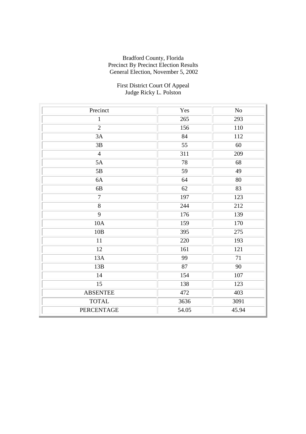#### First District Court Of Appeal Judge Ricky L. Polston

| Precinct        | Yes   | No    |
|-----------------|-------|-------|
| $\mathbf{1}$    | 265   | 293   |
| $\overline{2}$  | 156   | 110   |
| 3A              | 84    | 112   |
| $3\mathrm{B}$   | 55    | 60    |
| $\overline{4}$  | 311   | 209   |
| 5A              | 78    | 68    |
| 5B              | 59    | 49    |
| 6A              | 64    | 80    |
| 6B              | 62    | 83    |
| $\overline{7}$  | 197   | 123   |
| $\overline{8}$  | 244   | 212   |
| 9               | 176   | 139   |
| 10A             | 159   | 170   |
| 10B             | 395   | 275   |
| 11              | 220   | 193   |
| 12              | 161   | 121   |
| 13A             | 99    | 71    |
| 13B             | 87    | 90    |
| 14              | 154   | 107   |
| 15              | 138   | 123   |
| <b>ABSENTEE</b> | 472   | 403   |
| <b>TOTAL</b>    | 3636  | 3091  |
| PERCENTAGE      | 54.05 | 45.94 |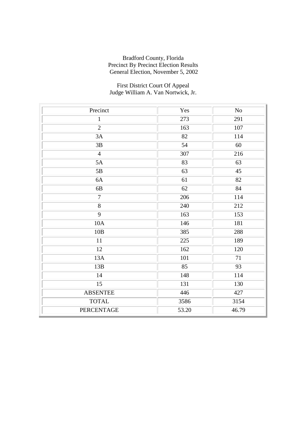#### First District Court Of Appeal Judge William A. Van Nortwick, Jr.

| Precinct        | Yes   | No    |
|-----------------|-------|-------|
| $\mathbf{1}$    | 273   | 291   |
| $\overline{2}$  | 163   | 107   |
| 3A              | 82    | 114   |
| 3B              | 54    | 60    |
| $\overline{4}$  | 307   | 216   |
| 5A              | 83    | 63    |
| 5B              | 63    | 45    |
| 6A              | 61    | 82    |
| 6B              | 62    | 84    |
| $\overline{7}$  | 206   | 114   |
| 8               | 240   | 212   |
| 9               | 163   | 153   |
| 10A             | 146   | 181   |
| 10B             | 385   | 288   |
| 11              | 225   | 189   |
| 12              | 162   | 120   |
| 13A             | 101   | 71    |
| 13B             | 85    | 93    |
| 14              | 148   | 114   |
| 15              | 131   | 130   |
| <b>ABSENTEE</b> | 446   | 427   |
| <b>TOTAL</b>    | 3586  | 3154  |
| PERCENTAGE      | 53.20 | 46.79 |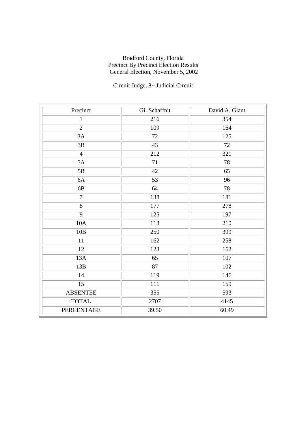# Circuit Judge,  $8^{\rm th}$  Judicial Circuit

| Precinct          | Gil Schaffnit | David A. Glant |
|-------------------|---------------|----------------|
| $\mathbf{1}$      | 216           | 354            |
| $\overline{2}$    | 109           | 164            |
| 3A                | 72            | 125            |
| 3B                | 43            | 72             |
| $\overline{4}$    | 212           | 321            |
| 5A                | 71            | 78             |
| 5B                | 42            | 65             |
| 6A                | 53            | 96             |
| 6B                | 64            | 78             |
| $\overline{7}$    | 138           | 181            |
| 8                 | 177           | 278            |
| 9                 | 125           | 197            |
| 10A               | 113           | 210            |
| 10B               | 250           | 399            |
| 11                | 162           | 258            |
| 12                | 123           | 162            |
| 13A               | 65            | 107            |
| 13B               | 87            | 102            |
| 14                | 119           | 146            |
| 15                | 111           | 159            |
| <b>ABSENTEE</b>   | 355           | 593            |
| <b>TOTAL</b>      | 2707          | 4145           |
| <b>PERCENTAGE</b> | 39.50         | 60.49          |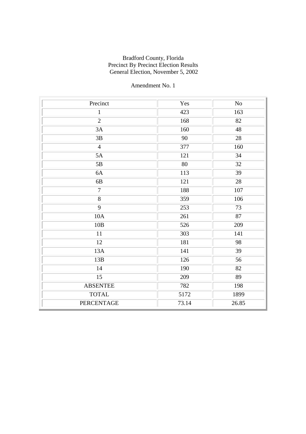| Precinct          | Yes   | N <sub>o</sub>  |
|-------------------|-------|-----------------|
| $\mathbf{1}$      | 423   | 163             |
| $\overline{2}$    | 168   | 82              |
| 3A                | 160   | 48              |
| 3B                | 90    | 28              |
| $\overline{4}$    | 377   | 160             |
| 5A                | 121   | 34              |
| 5B                | 80    | 32              |
| 6A                | 113   | 39              |
| 6B                | 121   | $\overline{28}$ |
| $\overline{7}$    | 188   | 107             |
| $\overline{8}$    | 359   | 106             |
| $\overline{9}$    | 253   | 73              |
| 10A               | 261   | 87              |
| 10B               | 526   | 209             |
| 11                | 303   | 141             |
| 12                | 181   | 98              |
| 13A               | 141   | 39              |
| 13B               | 126   | 56              |
| 14                | 190   | 82              |
| 15                | 209   | 89              |
| <b>ABSENTEE</b>   | 782   | 198             |
| <b>TOTAL</b>      | 5172  | 1899            |
| <b>PERCENTAGE</b> | 73.14 | 26.85           |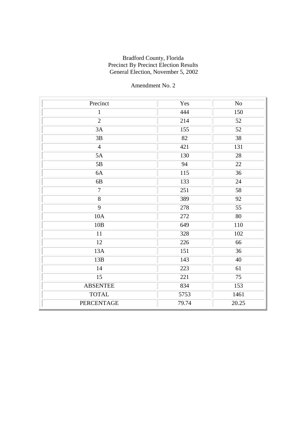| Precinct        | Yes   | N <sub>o</sub>  |
|-----------------|-------|-----------------|
| $\mathbf{1}$    | 444   | 150             |
| $\overline{2}$  | 214   | 52              |
| 3A              | 155   | 52              |
| 3B              | 82    | 38              |
| $\overline{4}$  | 421   | 131             |
| 5A              | 130   | 28              |
| 5B              | 94    | 22              |
| 6A              | 115   | 36              |
| $6\mathrm{B}$   | 133   | 24              |
| $\overline{7}$  | 251   | 58              |
| $\overline{8}$  | 389   | $\overline{92}$ |
| $\overline{9}$  | 278   | 55              |
| 10A             | 272   | 80              |
| 10B             | 649   | 110             |
| 11              | 328   | 102             |
| 12              | 226   | 66              |
| 13A             | 151   | 36              |
| 13B             | 143   | 40              |
| 14              | 223   | 61              |
| 15              | 221   | 75              |
| <b>ABSENTEE</b> | 834   | 153             |
| <b>TOTAL</b>    | 5753  | 1461            |
| PERCENTAGE      | 79.74 | 20.25           |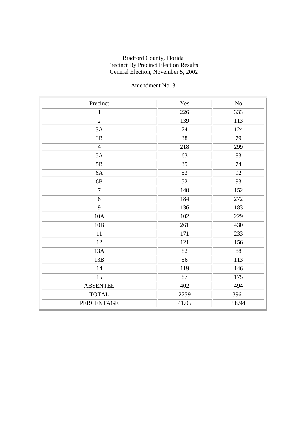| Precinct        | Yes   | $\rm No$ |
|-----------------|-------|----------|
| $\mathbf{1}$    | 226   | 333      |
| $\overline{2}$  | 139   | 113      |
| 3A              | 74    | 124      |
| 3B              | 38    | 79       |
| $\overline{4}$  | 218   | 299      |
| 5A              | 63    | 83       |
| 5B              | 35    | 74       |
| 6A              | 53    | 92       |
| $6\mathrm{B}$   | 52    | 93       |
| $\overline{7}$  | 140   | 152      |
| $\overline{8}$  | 184   | 272      |
| $\overline{9}$  | 136   | 183      |
| 10A             | 102   | 229      |
| 10B             | 261   | 430      |
| 11              | 171   | 233      |
| 12              | 121   | 156      |
| 13A             | 82    | 88       |
| 13B             | 56    | 113      |
| 14              | 119   | 146      |
| 15              | 87    | 175      |
| <b>ABSENTEE</b> | 402   | 494      |
| <b>TOTAL</b>    | 2759  | 3961     |
| PERCENTAGE      | 41.05 | 58.94    |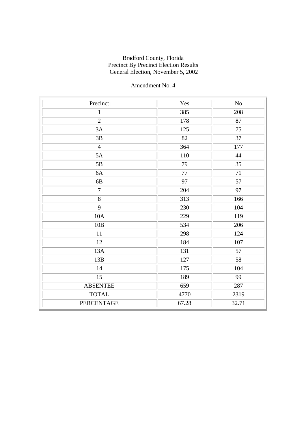| Precinct          | Yes   | N <sub>o</sub>  |
|-------------------|-------|-----------------|
| $\mathbf{1}$      | 385   | 208             |
| $\overline{2}$    | 178   | 87              |
| 3A                | 125   | 75              |
| 3B                | 82    | 37              |
| $\overline{4}$    | 364   | 177             |
| 5A                | 110   | 44              |
| 5B                | 79    | 35              |
| 6A                | 77    | 71              |
| 6B                | 97    | 57              |
| $\overline{7}$    | 204   | $\overline{97}$ |
| $\overline{8}$    | 313   | 166             |
| 9                 | 230   | 104             |
| 10A               | 229   | 119             |
| 10B               | 534   | 206             |
| 11                | 298   | 124             |
| 12                | 184   | 107             |
| 13A               | 131   | 57              |
| 13B               | 127   | 58              |
| 14                | 175   | 104             |
| 15                | 189   | 99              |
| <b>ABSENTEE</b>   | 659   | 287             |
| <b>TOTAL</b>      | 4770  | 2319            |
| <b>PERCENTAGE</b> | 67.28 | 32.71           |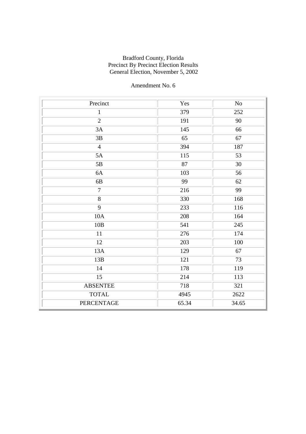| Precinct          | Yes   | $\rm No$ |
|-------------------|-------|----------|
| $\mathbf{1}$      | 379   | 252      |
| $\overline{2}$    | 191   | 90       |
| 3A                | 145   | 66       |
| 3B                | 65    | 67       |
| $\overline{4}$    | 394   | 187      |
| 5A                | 115   | 53       |
| 5B                | 87    | 30       |
| 6A                | 103   | 56       |
| 6B                | 99    | 62       |
| $\overline{7}$    | 216   | 99       |
| $\overline{8}$    | 330   | 168      |
| 9                 | 233   | 116      |
| 10A               | 208   | 164      |
| 10B               | 541   | 245      |
| 11                | 276   | 174      |
| 12                | 203   | 100      |
| 13A               | 129   | 67       |
| 13B               | 121   | 73       |
| 14                | 178   | 119      |
| 15                | 214   | 113      |
| <b>ABSENTEE</b>   | 718   | 321      |
| <b>TOTAL</b>      | 4945  | 2622     |
| <b>PERCENTAGE</b> | 65.34 | 34.65    |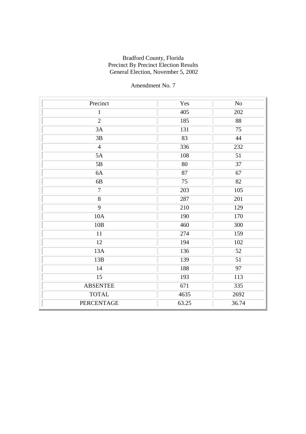| Precinct          | Yes   | $\rm No$ |
|-------------------|-------|----------|
| $\mathbf{1}$      | 405   | 202      |
| $\overline{2}$    | 185   | 88       |
| 3A                | 131   | 75       |
| $3\mathrm{B}$     | 83    | 44       |
| $\overline{4}$    | 336   | 232      |
| 5A                | 108   | 51       |
| 5B                | 80    | 37       |
| 6A                | 87    | 67       |
| 6B                | 75    | 82       |
| $\overline{7}$    | 203   | 105      |
| $\overline{8}$    | 287   | 201      |
| 9                 | 210   | 129      |
| 10A               | 190   | 170      |
| 10B               | 460   | 300      |
| 11                | 274   | 159      |
| 12                | 194   | 102      |
| 13A               | 136   | 52       |
| 13B               | 139   | 51       |
| 14                | 188   | 97       |
| 15                | 193   | 113      |
| <b>ABSENTEE</b>   | 671   | 335      |
| <b>TOTAL</b>      | 4635  | 2692     |
| <b>PERCENTAGE</b> | 63.25 | 36.74    |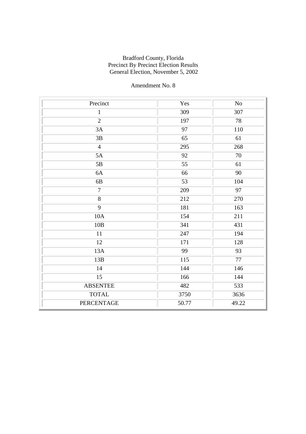| Precinct        | Yes   | N <sub>o</sub> |
|-----------------|-------|----------------|
| $\mathbf{1}$    | 309   | 307            |
| $\overline{2}$  | 197   | 78             |
| 3A              | 97    | 110            |
| 3B              | 65    | 61             |
| $\overline{4}$  | 295   | 268            |
| 5A              | 92    | 70             |
| 5B              | 55    | 61             |
| 6A              | 66    | 90             |
| $6\mathrm{B}$   | 53    | 104            |
| $\overline{7}$  | 209   | 97             |
| $\overline{8}$  | 212   | 270            |
| $\overline{9}$  | 181   | 163            |
| 10A             | 154   | 211            |
| 10B             | 341   | 431            |
| 11              | 247   | 194            |
| 12              | 171   | 128            |
| 13A             | 99    | 93             |
| 13B             | 115   | 77             |
| 14              | 144   | 146            |
| 15              | 166   | 144            |
| <b>ABSENTEE</b> | 482   | 533            |
| <b>TOTAL</b>    | 3750  | 3636           |
| PERCENTAGE      | 50.77 | 49.22          |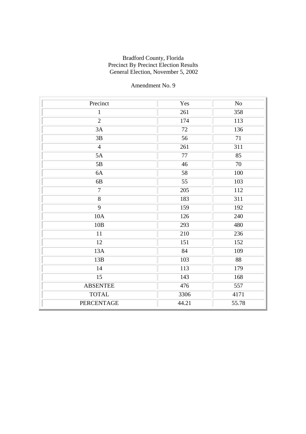| Precinct        | Yes    | $\rm No$ |
|-----------------|--------|----------|
| $\mathbf{1}$    | 261    | 358      |
| $\overline{2}$  | 174    | 113      |
| 3A              | $72\,$ | 136      |
| $3\mathrm{B}$   | 56     | 71       |
| $\overline{4}$  | 261    | 311      |
| 5A              | $77\,$ | 85       |
| 5B              | 46     | 70       |
| 6A              | 58     | 100      |
| 6B              | 55     | 103      |
| $\overline{7}$  | 205    | 112      |
| $\overline{8}$  | 183    | 311      |
| 9               | 159    | 192      |
| 10A             | 126    | 240      |
| 10B             | 293    | 480      |
| 11              | 210    | 236      |
| 12              | 151    | 152      |
| 13A             | 84     | 109      |
| 13B             | 103    | 88       |
| 14              | 113    | 179      |
| 15              | 143    | 168      |
| <b>ABSENTEE</b> | 476    | 557      |
| <b>TOTAL</b>    | 3306   | 4171     |
| PERCENTAGE      | 44.21  | 55.78    |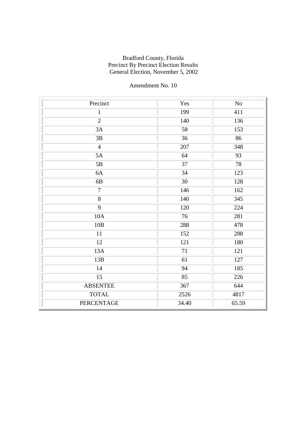| Precinct          | Yes   | No    |
|-------------------|-------|-------|
| $\mathbf{1}$      | 199   | 411   |
| $\overline{2}$    | 140   | 136   |
| 3A                | 58    | 153   |
| $3\mathrm{B}$     | 36    | 86    |
| $\overline{4}$    | 207   | 348   |
| 5A                | 64    | 93    |
| 5B                | 37    | 78    |
| 6A                | 34    | 123   |
| 6B                | 30    | 128   |
| $\overline{7}$    | 146   | 162   |
| $\overline{8}$    | 140   | 345   |
| 9                 | 120   | 224   |
| 10A               | 76    | 281   |
| 10B               | 288   | 478   |
| 11                | 152   | 288   |
| 12                | 121   | 180   |
| 13A               | 71    | 121   |
| 13B               | 61    | 127   |
| 14                | 94    | 185   |
| 15                | 85    | 226   |
| <b>ABSENTEE</b>   | 367   | 644   |
| <b>TOTAL</b>      | 2526  | 4817  |
| <b>PERCENTAGE</b> | 34.40 | 65.59 |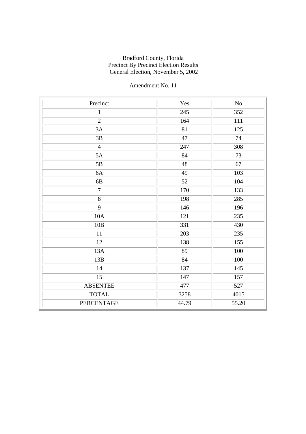| Precinct          | Yes   | $\rm No$ |
|-------------------|-------|----------|
| $\mathbf{1}$      | 245   | 352      |
| $\overline{2}$    | 164   | 111      |
| 3A                | 81    | 125      |
| 3B                | 47    | 74       |
| $\overline{4}$    | 247   | 308      |
| 5A                | 84    | 73       |
| 5B                | 48    | 67       |
| 6A                | 49    | 103      |
| 6B                | 52    | 104      |
| $\overline{7}$    | 170   | 133      |
| $\overline{8}$    | 198   | 285      |
| 9                 | 146   | 196      |
| 10A               | 121   | 235      |
| 10B               | 331   | 430      |
| 11                | 203   | 235      |
| 12                | 138   | 155      |
| 13A               | 89    | 100      |
| 13B               | 84    | 100      |
| 14                | 137   | 145      |
| 15                | 147   | 157      |
| <b>ABSENTEE</b>   | 477   | 527      |
| <b>TOTAL</b>      | 3258  | 4015     |
| <b>PERCENTAGE</b> | 44.79 | 55.20    |